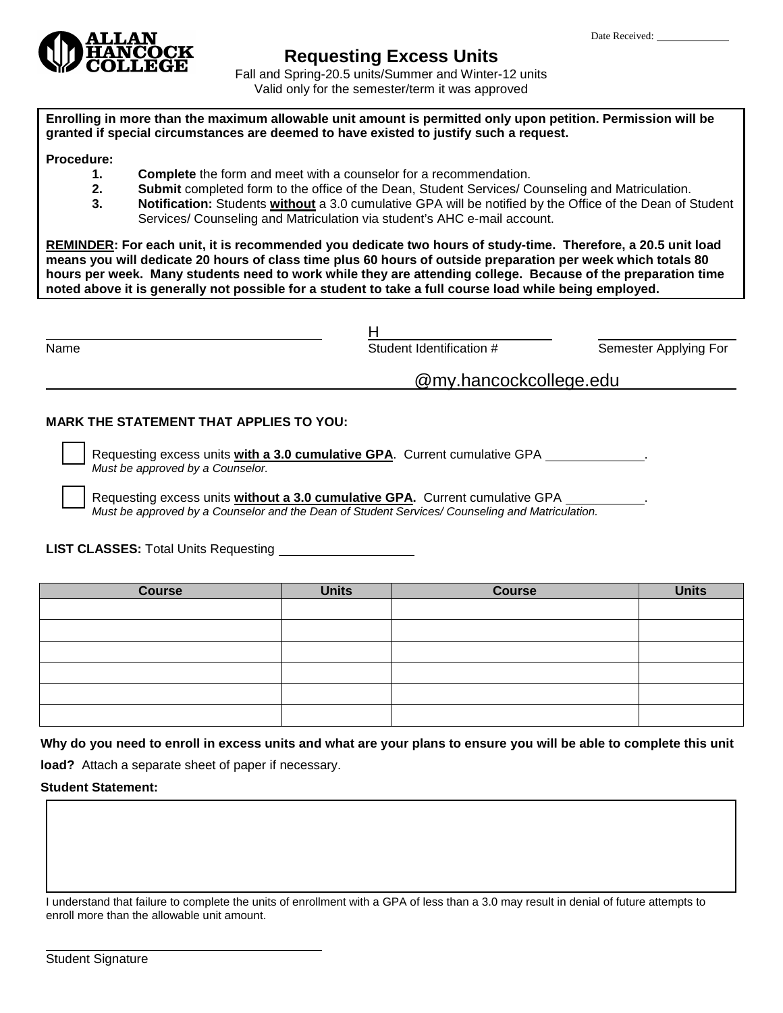

## **Requesting Excess Units**

Fall and Spring-20.5 units/Summer and Winter-12 units Valid only for the semester/term it was approved

**Enrolling in more than the maximum allowable unit amount is permitted only upon petition. Permission will be granted if special circumstances are deemed to have existed to justify such a request.**

## **Procedure:**

- **1. Complete** the form and meet with a counselor for a recommendation.
- **2. Submit** completed form to the office of the Dean, Student Services/ Counseling and Matriculation.<br>**3. Notification:** Students **without** a 3.0 cumulative GPA will be notified by the Office of the Dean of S
- **3. Notification:** Students **without** a 3.0 cumulative GPA will be notified by the Office of the Dean of Student Services/ Counseling and Matriculation via student's AHC e-mail account.

**REMINDER: For each unit, it is recommended you dedicate two hours of study-time. Therefore, a 20.5 unit load means you will dedicate 20 hours of class time plus 60 hours of outside preparation per week which totals 80 hours per week. Many students need to work while they are attending college. Because of the preparation time noted above it is generally not possible for a student to take a full course load while being employed.** 

| Name | Student Identification # | Semester Applying For |  |  |
|------|--------------------------|-----------------------|--|--|
|      | @my.hancockcollege.edu   |                       |  |  |

## **MARK THE STATEMENT THAT APPLIES TO YOU:**

 Requesting excess units **with a 3.0 cumulative GPA**. Current cumulative GPA . *Must be approved by a Counselor.*

 Requesting excess units **without a 3.0 cumulative GPA.** Current cumulative GPA . *Must be approved by a Counselor and the Dean of Student Services/ Counseling and Matriculation.*

**LIST CLASSES:** Total Units Requesting

| <b>Course</b> | <b>Units</b> | <b>Course</b> | <b>Units</b> |
|---------------|--------------|---------------|--------------|
|               |              |               |              |
|               |              |               |              |
|               |              |               |              |
|               |              |               |              |
|               |              |               |              |
|               |              |               |              |

**Why do you need to enroll in excess units and what are your plans to ensure you will be able to complete this unit** 

**load?** Attach a separate sheet of paper if necessary.

**Student Statement:** 

I understand that failure to complete the units of enrollment with a GPA of less than a 3.0 may result in denial of future attempts to enroll more than the allowable unit amount.